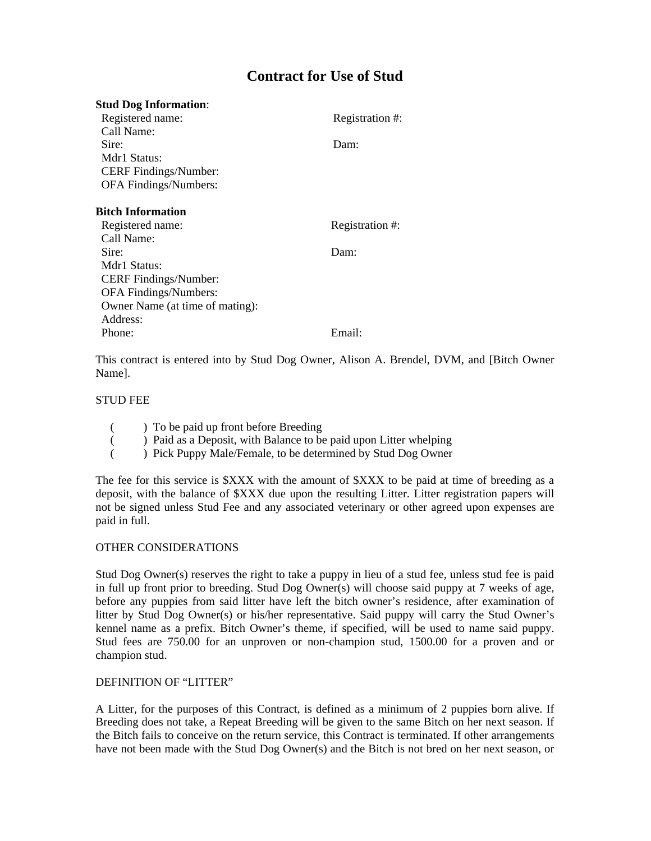# **Contract for Use of Stud**

# **Stud Dog Information**:

| Registered name:                | Registration #: |
|---------------------------------|-----------------|
| Call Name:                      |                 |
| Sire:                           | Dam:            |
| Mdr1 Status:                    |                 |
| <b>CERF</b> Findings/Number:    |                 |
| OFA Findings/Numbers:           |                 |
|                                 |                 |
| Bitch Information               |                 |
| Registered name:                | Registration #: |
| Call Name:                      |                 |
| Sire:                           | Dam:            |
| Mdr1 Status:                    |                 |
| CERF Findings/Number:           |                 |
| OFA Findings/Numbers:           |                 |
| Owner Name (at time of mating): |                 |
| Address:                        |                 |
| Phone:                          | Email:          |

This contract is entered into by Stud Dog Owner, Alison A. Brendel, DVM, and [Bitch Owner Name].

## STUD FEE

- ( ) To be paid up front before Breeding
- ( ) Paid as a Deposit, with Balance to be paid upon Litter whelping
- ( ) Pick Puppy Male/Female, to be determined by Stud Dog Owner

The fee for this service is \$XXX with the amount of \$XXX to be paid at time of breeding as a deposit, with the balance of \$XXX due upon the resulting Litter. Litter registration papers will not be signed unless Stud Fee and any associated veterinary or other agreed upon expenses are paid in full.

#### OTHER CONSIDERATIONS

Stud Dog Owner(s) reserves the right to take a puppy in lieu of a stud fee, unless stud fee is paid in full up front prior to breeding. Stud Dog Owner(s) will choose said puppy at 7 weeks of age, before any puppies from said litter have left the bitch owner's residence, after examination of litter by Stud Dog Owner(s) or his/her representative. Said puppy will carry the Stud Owner's kennel name as a prefix. Bitch Owner's theme, if specified, will be used to name said puppy. Stud fees are 750.00 for an unproven or non-champion stud, 1500.00 for a proven and or champion stud.

#### DEFINITION OF "LITTER"

A Litter, for the purposes of this Contract, is defined as a minimum of 2 puppies born alive. If Breeding does not take, a Repeat Breeding will be given to the same Bitch on her next season. If the Bitch fails to conceive on the return service, this Contract is terminated. If other arrangements have not been made with the Stud Dog Owner(s) and the Bitch is not bred on her next season, or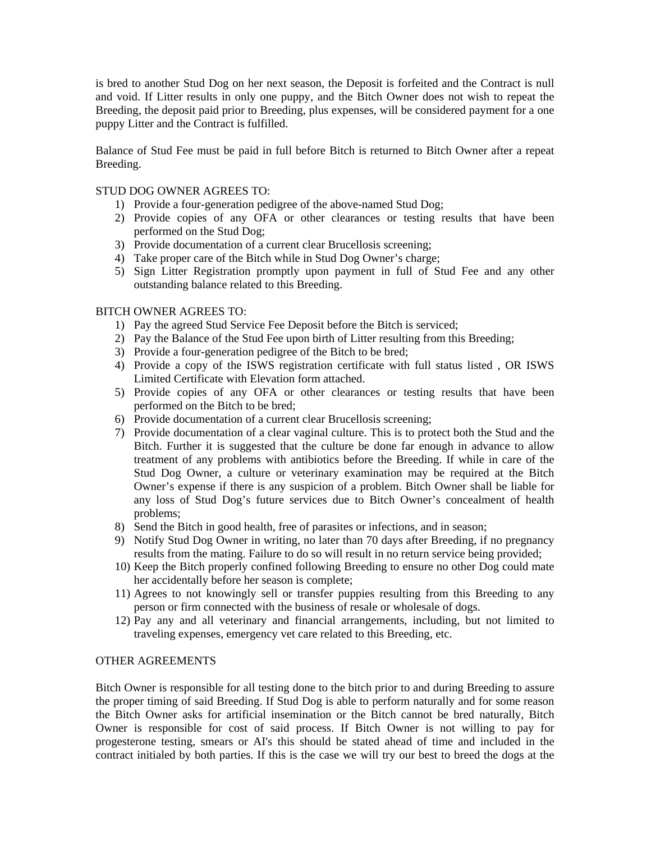is bred to another Stud Dog on her next season, the Deposit is forfeited and the Contract is null and void. If Litter results in only one puppy, and the Bitch Owner does not wish to repeat the Breeding, the deposit paid prior to Breeding, plus expenses, will be considered payment for a one puppy Litter and the Contract is fulfilled.

Balance of Stud Fee must be paid in full before Bitch is returned to Bitch Owner after a repeat Breeding.

### STUD DOG OWNER AGREES TO:

- 1) Provide a four-generation pedigree of the above-named Stud Dog;
- 2) Provide copies of any OFA or other clearances or testing results that have been performed on the Stud Dog;
- 3) Provide documentation of a current clear Brucellosis screening;
- 4) Take proper care of the Bitch while in Stud Dog Owner's charge;
- 5) Sign Litter Registration promptly upon payment in full of Stud Fee and any other outstanding balance related to this Breeding.

## BITCH OWNER AGREES TO:

- 1) Pay the agreed Stud Service Fee Deposit before the Bitch is serviced;
- 2) Pay the Balance of the Stud Fee upon birth of Litter resulting from this Breeding;
- 3) Provide a four-generation pedigree of the Bitch to be bred;
- 4) Provide a copy of the ISWS registration certificate with full status listed , OR ISWS Limited Certificate with Elevation form attached.
- 5) Provide copies of any OFA or other clearances or testing results that have been performed on the Bitch to be bred;
- 6) Provide documentation of a current clear Brucellosis screening;
- 7) Provide documentation of a clear vaginal culture. This is to protect both the Stud and the Bitch. Further it is suggested that the culture be done far enough in advance to allow treatment of any problems with antibiotics before the Breeding. If while in care of the Stud Dog Owner, a culture or veterinary examination may be required at the Bitch Owner's expense if there is any suspicion of a problem. Bitch Owner shall be liable for any loss of Stud Dog's future services due to Bitch Owner's concealment of health problems;
- 8) Send the Bitch in good health, free of parasites or infections, and in season;
- 9) Notify Stud Dog Owner in writing, no later than 70 days after Breeding, if no pregnancy results from the mating. Failure to do so will result in no return service being provided;
- 10) Keep the Bitch properly confined following Breeding to ensure no other Dog could mate her accidentally before her season is complete;
- 11) Agrees to not knowingly sell or transfer puppies resulting from this Breeding to any person or firm connected with the business of resale or wholesale of dogs.
- 12) Pay any and all veterinary and financial arrangements, including, but not limited to traveling expenses, emergency vet care related to this Breeding, etc.

# OTHER AGREEMENTS

Bitch Owner is responsible for all testing done to the bitch prior to and during Breeding to assure the proper timing of said Breeding. If Stud Dog is able to perform naturally and for some reason the Bitch Owner asks for artificial insemination or the Bitch cannot be bred naturally, Bitch Owner is responsible for cost of said process. If Bitch Owner is not willing to pay for progesterone testing, smears or AI's this should be stated ahead of time and included in the contract initialed by both parties. If this is the case we will try our best to breed the dogs at the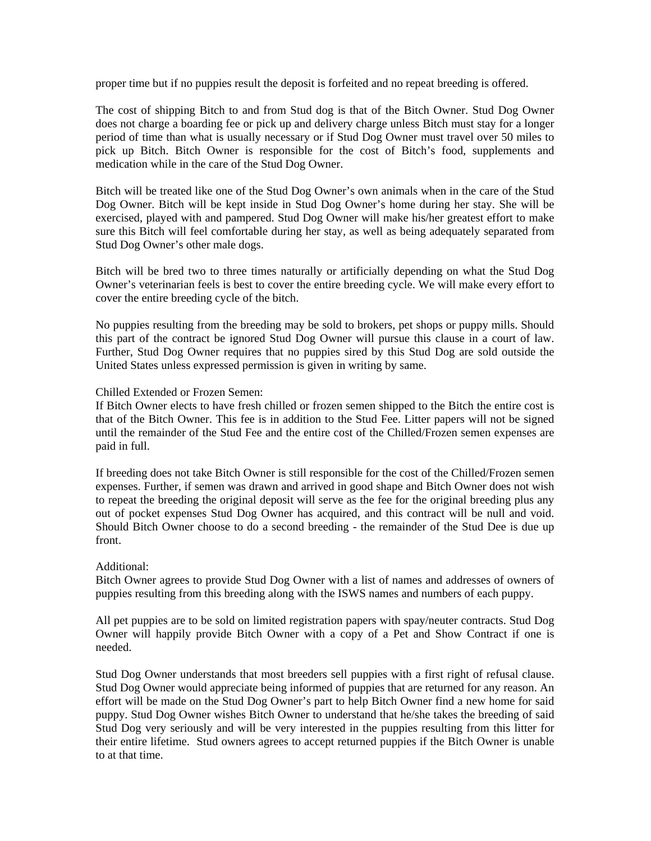proper time but if no puppies result the deposit is forfeited and no repeat breeding is offered.

The cost of shipping Bitch to and from Stud dog is that of the Bitch Owner. Stud Dog Owner does not charge a boarding fee or pick up and delivery charge unless Bitch must stay for a longer period of time than what is usually necessary or if Stud Dog Owner must travel over 50 miles to pick up Bitch. Bitch Owner is responsible for the cost of Bitch's food, supplements and medication while in the care of the Stud Dog Owner.

Bitch will be treated like one of the Stud Dog Owner's own animals when in the care of the Stud Dog Owner. Bitch will be kept inside in Stud Dog Owner's home during her stay. She will be exercised, played with and pampered. Stud Dog Owner will make his/her greatest effort to make sure this Bitch will feel comfortable during her stay, as well as being adequately separated from Stud Dog Owner's other male dogs.

Bitch will be bred two to three times naturally or artificially depending on what the Stud Dog Owner's veterinarian feels is best to cover the entire breeding cycle. We will make every effort to cover the entire breeding cycle of the bitch.

No puppies resulting from the breeding may be sold to brokers, pet shops or puppy mills. Should this part of the contract be ignored Stud Dog Owner will pursue this clause in a court of law. Further, Stud Dog Owner requires that no puppies sired by this Stud Dog are sold outside the United States unless expressed permission is given in writing by same.

#### Chilled Extended or Frozen Semen:

If Bitch Owner elects to have fresh chilled or frozen semen shipped to the Bitch the entire cost is that of the Bitch Owner. This fee is in addition to the Stud Fee. Litter papers will not be signed until the remainder of the Stud Fee and the entire cost of the Chilled/Frozen semen expenses are paid in full.

If breeding does not take Bitch Owner is still responsible for the cost of the Chilled/Frozen semen expenses. Further, if semen was drawn and arrived in good shape and Bitch Owner does not wish to repeat the breeding the original deposit will serve as the fee for the original breeding plus any out of pocket expenses Stud Dog Owner has acquired, and this contract will be null and void. Should Bitch Owner choose to do a second breeding - the remainder of the Stud Dee is due up front.

### Additional:

Bitch Owner agrees to provide Stud Dog Owner with a list of names and addresses of owners of puppies resulting from this breeding along with the ISWS names and numbers of each puppy.

All pet puppies are to be sold on limited registration papers with spay/neuter contracts. Stud Dog Owner will happily provide Bitch Owner with a copy of a Pet and Show Contract if one is needed.

Stud Dog Owner understands that most breeders sell puppies with a first right of refusal clause. Stud Dog Owner would appreciate being informed of puppies that are returned for any reason. An effort will be made on the Stud Dog Owner's part to help Bitch Owner find a new home for said puppy. Stud Dog Owner wishes Bitch Owner to understand that he/she takes the breeding of said Stud Dog very seriously and will be very interested in the puppies resulting from this litter for their entire lifetime. Stud owners agrees to accept returned puppies if the Bitch Owner is unable to at that time.